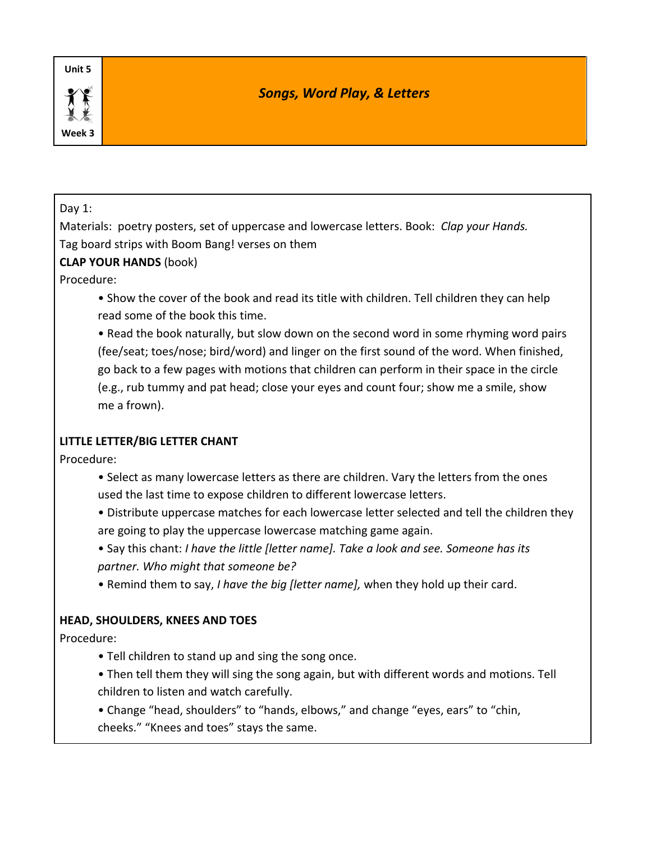# *Songs, Word Play, & Letters*

#### Day 1:

Materials: poetry posters, set of uppercase and lowercase letters. Book: *Clap your Hands.*  Tag board strips with Boom Bang! verses on them

## **CLAP YOUR HANDS** (book)

Procedure:

• Show the cover of the book and read its title with children. Tell children they can help read some of the book this time.

• Read the book naturally, but slow down on the second word in some rhyming word pairs (fee/seat; toes/nose; bird/word) and linger on the first sound of the word. When finished, go back to a few pages with motions that children can perform in their space in the circle (e.g., rub tummy and pat head; close your eyes and count four; show me a smile, show me a frown).

# **LITTLE LETTER/BIG LETTER CHANT**

Procedure:

- Select as many lowercase letters as there are children. Vary the letters from the ones used the last time to expose children to different lowercase letters.
- Distribute uppercase matches for each lowercase letter selected and tell the children they are going to play the uppercase lowercase matching game again.
- Say this chant: *I have the little [letter name]. Take a look and see. Someone has its partner. Who might that someone be?*
- Remind them to say, *I have the big [letter name],* when they hold up their card.

# **HEAD, SHOULDERS, KNEES AND TOES**

Procedure:

- Tell children to stand up and sing the song once.
- Then tell them they will sing the song again, but with different words and motions. Tell children to listen and watch carefully.
- Change "head, shoulders" to "hands, elbows," and change "eyes, ears" to "chin, cheeks." "Knees and toes" stays the same.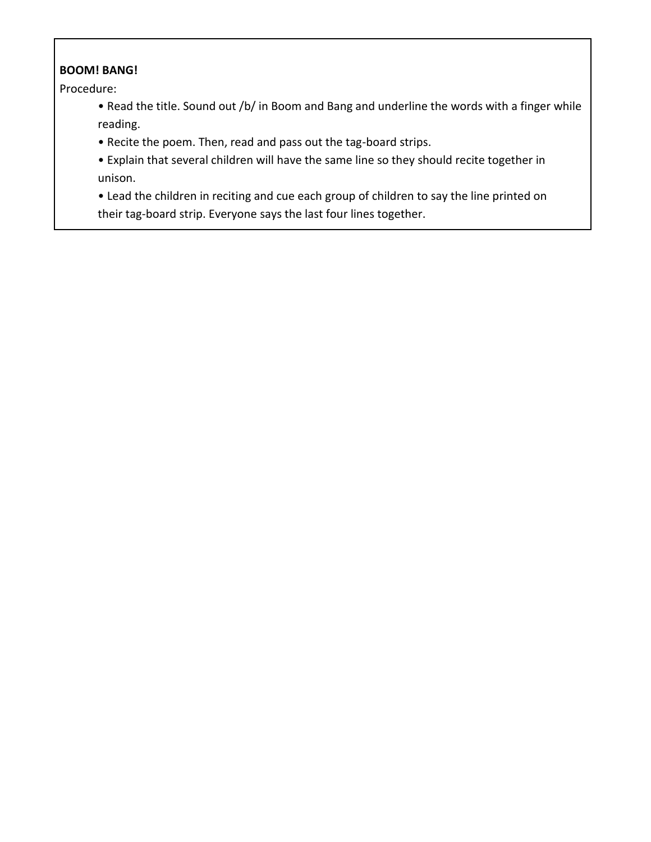## **BOOM! BANG!**

Procedure:

- Read the title. Sound out /b/ in Boom and Bang and underline the words with a finger while reading.
- Recite the poem. Then, read and pass out the tag-board strips.
- Explain that several children will have the same line so they should recite together in unison.
- Lead the children in reciting and cue each group of children to say the line printed on their tag-board strip. Everyone says the last four lines together.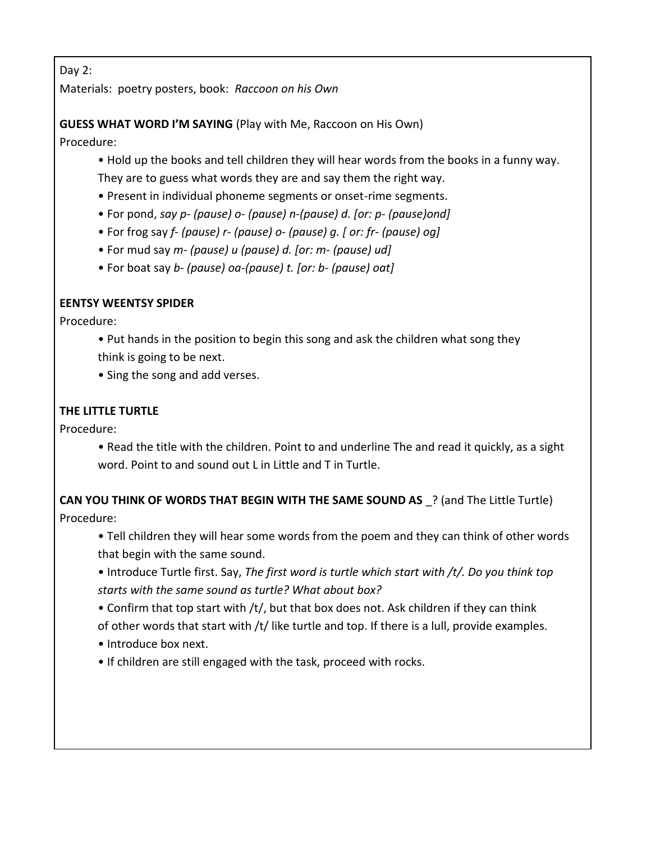Day 2:

Materials: poetry posters, book: *Raccoon on his Own*

# **GUESS WHAT WORD I'M SAYING** (Play with Me, Raccoon on His Own)

Procedure:

- Hold up the books and tell children they will hear words from the books in a funny way. They are to guess what words they are and say them the right way.
- Present in individual phoneme segments or onset-rime segments.
- For pond, *say p- (pause) o- (pause) n-(pause) d. [or: p- (pause)ond]*
- For frog say *f- (pause) r- (pause) o- (pause) g. [ or: fr- (pause) og]*
- For mud say *m- (pause) u (pause) d. [or: m- (pause) ud]*
- For boat say *b- (pause) oa-(pause) t. [or: b- (pause) oat]*

# **EENTSY WEENTSY SPIDER**

Procedure:

- Put hands in the position to begin this song and ask the children what song they think is going to be next.
- Sing the song and add verses.

# **THE LITTLE TURTLE**

Procedure:

• Read the title with the children. Point to and underline The and read it quickly, as a sight word. Point to and sound out L in Little and T in Turtle.

**CAN YOU THINK OF WORDS THAT BEGIN WITH THE SAME SOUND AS** ? (and The Little Turtle) Procedure:

- Tell children they will hear some words from the poem and they can think of other words that begin with the same sound.
- Introduce Turtle first. Say, *The first word is turtle which start with /t/. Do you think top starts with the same sound as turtle? What about box?*
- Confirm that top start with /t/, but that box does not. Ask children if they can think of other words that start with /t/ like turtle and top. If there is a lull, provide examples.
- Introduce box next.
- If children are still engaged with the task, proceed with rocks.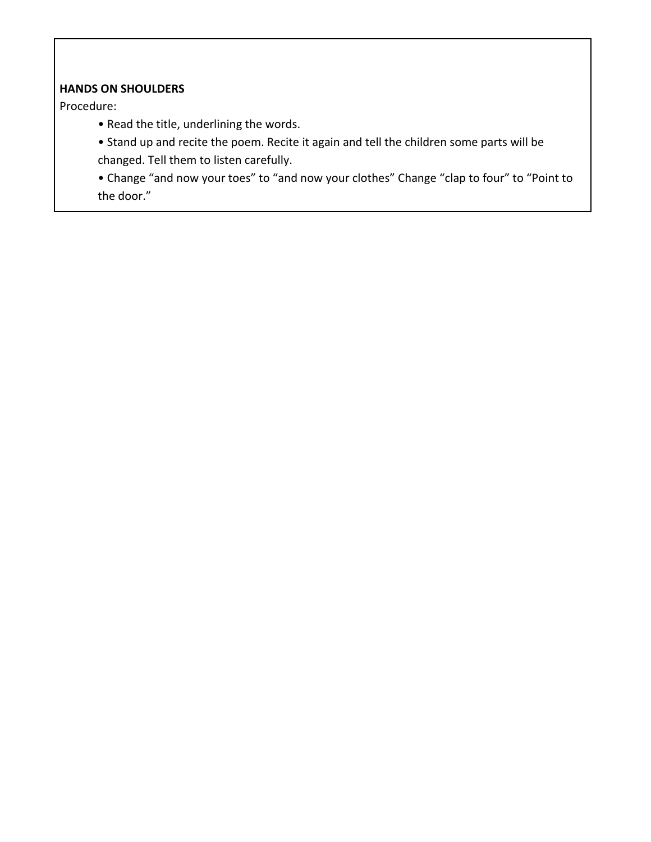## **HANDS ON SHOULDERS**

Procedure:

- Read the title, underlining the words.
- Stand up and recite the poem. Recite it again and tell the children some parts will be changed. Tell them to listen carefully.

• Change "and now your toes" to "and now your clothes" Change "clap to four" to "Point to the door."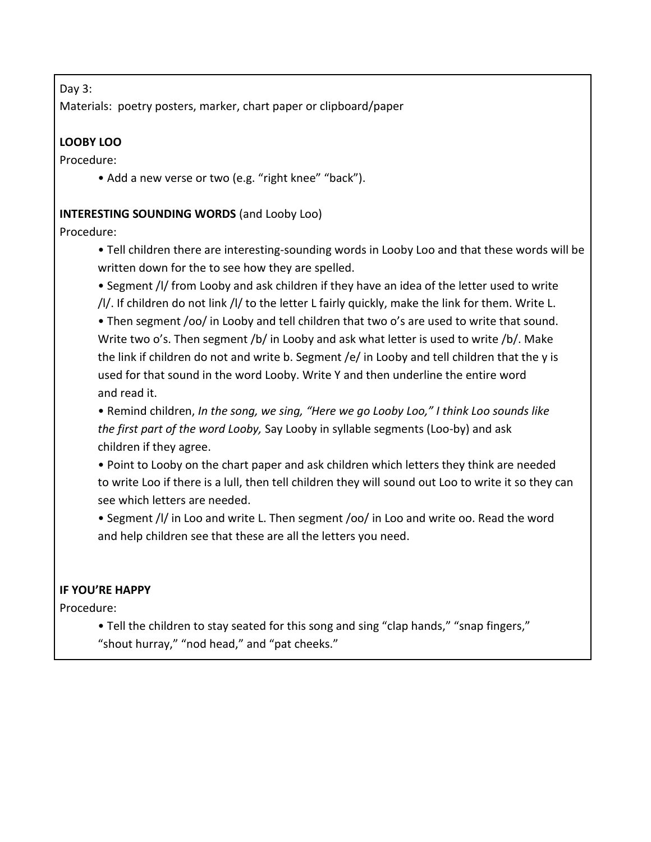#### Day 3:

Materials: poetry posters, marker, chart paper or clipboard/paper

# **LOOBY LOO**

Procedure:

• Add a new verse or two (e.g. "right knee" "back").

## **INTERESTING SOUNDING WORDS** (and Looby Loo)

#### Procedure:

- Tell children there are interesting-sounding words in Looby Loo and that these words will be written down for the to see how they are spelled.
- Segment /l/ from Looby and ask children if they have an idea of the letter used to write /l/. If children do not link /l/ to the letter L fairly quickly, make the link for them. Write L.

• Then segment /oo/ in Looby and tell children that two o's are used to write that sound. Write two o's. Then segment /b/ in Looby and ask what letter is used to write /b/. Make the link if children do not and write b. Segment /e/ in Looby and tell children that the y is used for that sound in the word Looby. Write Y and then underline the entire word and read it.

• Remind children, *In the song, we sing, "Here we go Looby Loo," I think Loo sounds like the first part of the word Looby,* Say Looby in syllable segments (Loo-by) and ask children if they agree.

• Point to Looby on the chart paper and ask children which letters they think are needed to write Loo if there is a lull, then tell children they will sound out Loo to write it so they can see which letters are needed.

• Segment /l/ in Loo and write L. Then segment /oo/ in Loo and write oo. Read the word and help children see that these are all the letters you need.

#### **IF YOU'RE HAPPY**

Procedure:

• Tell the children to stay seated for this song and sing "clap hands," "snap fingers," "shout hurray," "nod head," and "pat cheeks."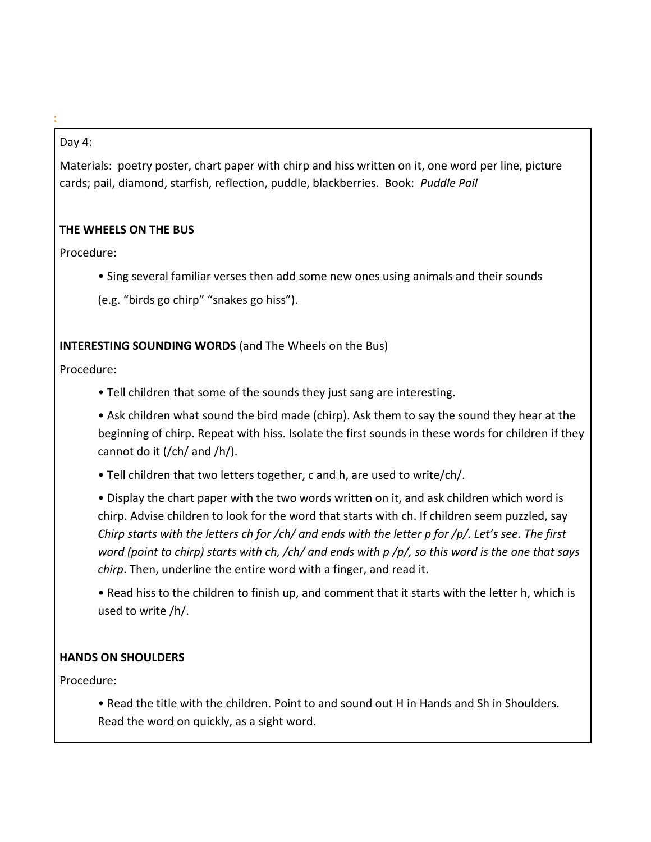### Day 4:

**:**

Materials: poetry poster, chart paper with chirp and hiss written on it, one word per line, picture cards; pail, diamond, starfish, reflection, puddle, blackberries. Book: *Puddle Pail*

## **THE WHEELS ON THE BUS**

Procedure:

- Sing several familiar verses then add some new ones using animals and their sounds
- (e.g. "birds go chirp" "snakes go hiss").

## **INTERESTING SOUNDING WORDS** (and The Wheels on the Bus)

Procedure:

• Tell children that some of the sounds they just sang are interesting.

• Ask children what sound the bird made (chirp). Ask them to say the sound they hear at the beginning of chirp. Repeat with hiss. Isolate the first sounds in these words for children if they cannot do it (/ch/ and /h/).

• Tell children that two letters together, c and h, are used to write/ch/.

• Display the chart paper with the two words written on it, and ask children which word is chirp. Advise children to look for the word that starts with ch. If children seem puzzled, say *Chirp starts with the letters ch for /ch/ and ends with the letter p for /p/. Let's see. The first word (point to chirp) starts with ch, /ch/ and ends with p /p/, so this word is the one that says chirp*. Then, underline the entire word with a finger, and read it.

• Read hiss to the children to finish up, and comment that it starts with the letter h, which is used to write /h/.

# **HANDS ON SHOULDERS**

Procedure:

• Read the title with the children. Point to and sound out H in Hands and Sh in Shoulders. Read the word on quickly, as a sight word.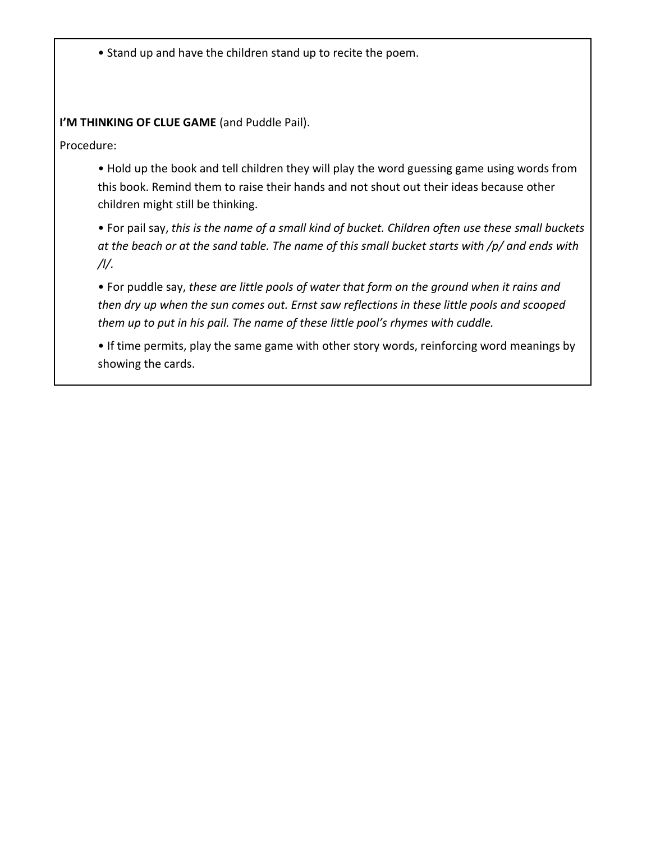• Stand up and have the children stand up to recite the poem.

**I'M THINKING OF CLUE GAME** (and Puddle Pail).

Procedure:

• Hold up the book and tell children they will play the word guessing game using words from this book. Remind them to raise their hands and not shout out their ideas because other children might still be thinking.

• For pail say, *this is the name of a small kind of bucket. Children often use these small buckets at the beach or at the sand table. The name of this small bucket starts with /p/ and ends with /l/.*

• For puddle say, *these are little pools of water that form on the ground when it rains and then dry up when the sun comes out. Ernst saw reflections in these little pools and scooped them up to put in his pail. The name of these little pool's rhymes with cuddle.*

• If time permits, play the same game with other story words, reinforcing word meanings by showing the cards.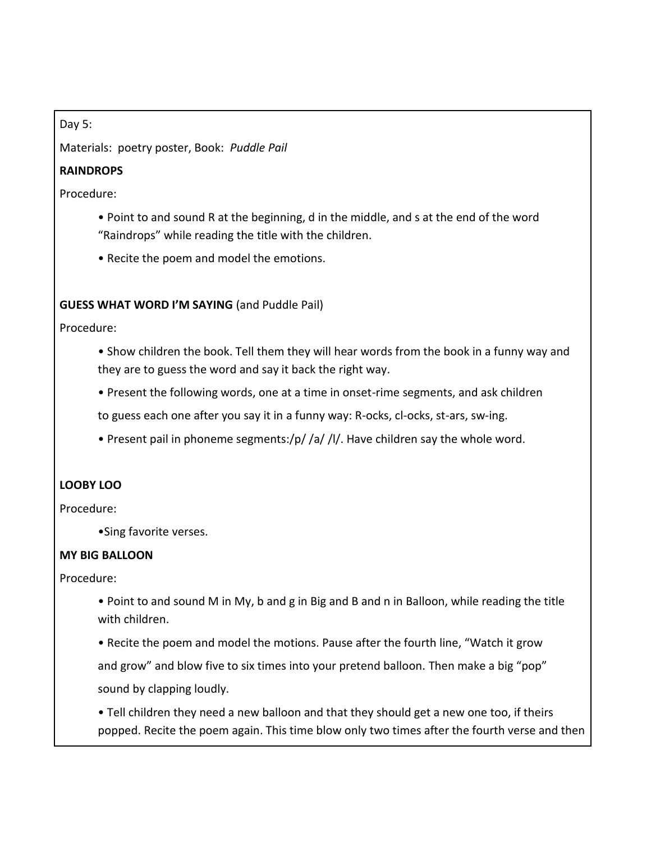Day 5:

Materials: poetry poster, Book: *Puddle Pail*

### **RAINDROPS**

Procedure:

- Point to and sound R at the beginning, d in the middle, and s at the end of the word "Raindrops" while reading the title with the children.
- Recite the poem and model the emotions.

#### **GUESS WHAT WORD I'M SAYING** (and Puddle Pail)

Procedure:

- Show children the book. Tell them they will hear words from the book in a funny way and they are to guess the word and say it back the right way.
- Present the following words, one at a time in onset-rime segments, and ask children

to guess each one after you say it in a funny way: R-ocks, cl-ocks, st-ars, sw-ing.

• Present pail in phoneme segments:/p/ /a/ /l/. Have children say the whole word.

#### **LOOBY LOO**

Procedure:

•Sing favorite verses.

#### **MY BIG BALLOON**

Procedure:

- Point to and sound M in My, b and g in Big and B and n in Balloon, while reading the title with children.
- Recite the poem and model the motions. Pause after the fourth line, "Watch it grow and grow" and blow five to six times into your pretend balloon. Then make a big "pop" sound by clapping loudly.

• Tell children they need a new balloon and that they should get a new one too, if theirs popped. Recite the poem again. This time blow only two times after the fourth verse and then